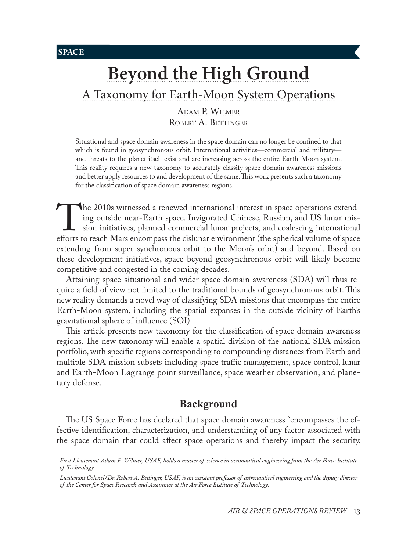**SPACE**

# **[Beyond the High Ground](#page-0-0)**

# [A Taxonomy for Earth-Moon System Operations](#page-0-0)

[Adam P. Wilmer](#page-0-0) ROBERT A. BETTINGER

Situational and space domain awareness in the space domain can no longer be confined to that which is found in geosynchronous orbit. International activities—commercial and military and threats to the planet itself exist and are increasing across the entire Earth-Moon system. This reality requires a new taxonomy to accurately classify space domain awareness missions and better apply resources to and development of the same. This work presents such a taxonomy for the classification of space domain awareness regions.

The 2010s witnessed a renewed international interest in space operations extend-<br>ing outside near-Earth space. Invigorated Chinese, Russian, and US lunar mis-<br>sion initiatives; planned commercial lunar projects; and coales ing outside near-Earth space. Invigorated Chinese, Russian, and US lunar mission initiatives; planned commercial lunar projects; and coalescing international extending from super-synchronous orbit to the Moon's orbit) and beyond. Based on these development initiatives, space beyond geosynchronous orbit will likely become competitive and congested in the coming decades.

Attaining space-situational and wider space domain awareness (SDA) will thus require a field of view not limited to the traditional bounds of geosynchronous orbit. This new reality demands a novel way of classifying SDA missions that encompass the entire Earth-Moon system, including the spatial expanses in the outside vicinity of Earth's gravitational sphere of influence (SOI).

This article presents new taxonomy for the classification of space domain awareness regions. The new taxonomy will enable a spatial division of the national SDA mission portfolio, with specific regions corresponding to compounding distances from Earth and multiple SDA mission subsets including space traffic management, space control, lunar and Earth-Moon Lagrange point surveillance, space weather observation, and planetary defense.

## **Background**

The US Space Force has declared that space domain awareness "encompasses the effective identification, characterization, and understanding of any factor associated with the space domain that could affect space operations and thereby impact the security,

*First Lieutenant Adam P. Wilmer, USAF, holds a master of science in aeronautical engineering from the Air Force Institute of Technology.*

<span id="page-0-0"></span>*Lieutenant Colonel/Dr. Robert A. Bettinger, USAF, is an assistant professor of astronautical engineering and the deputy director of the Center for Space Research and Assurance at the Air Force Institute of Technology.*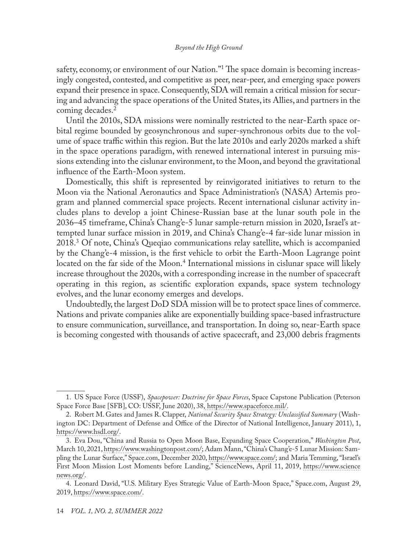safety, economy, or environment of our Nation."<sup>1</sup> The space domain is becoming increasingly congested, contested, and competitive as peer, near-peer, and emerging space powers expand their presence in space. Consequently, SDA will remain a critical mission for securing and advancing the space operations of the United States, its Allies, and partners in the coming decades.<sup>2</sup>

Until the 2010s, SDA missions were nominally restricted to the near-Earth space orbital regime bounded by geosynchronous and super-synchronous orbits due to the volume of space traffic within this region. But the late 2010s and early 2020s marked a shift in the space operations paradigm, with renewed international interest in pursuing missions extending into the cislunar environment, to the Moon, and beyond the gravitational influence of the Earth-Moon system.

Domestically, this shift is represented by reinvigorated initiatives to return to the Moon via the National Aeronautics and Space Administration's (NASA) Artemis program and planned commercial space projects. Recent international cislunar activity includes plans to develop a joint Chinese-Russian base at the lunar south pole in the 2036–45 timeframe, China's Chang'e-5 lunar sample-return mission in 2020, Israel's attempted lunar surface mission in 2019, and China's Chang'e-4 far-side lunar mission in 2018.3 Of note, China's Queqiao communications relay satellite, which is accompanied by the Chang'e-4 mission, is the first vehicle to orbit the Earth-Moon Lagrange point located on the far side of the Moon.<sup>4</sup> International missions in cislunar space will likely increase throughout the 2020s, with a corresponding increase in the number of spacecraft operating in this region, as scientific exploration expands, space system technology evolves, and the lunar economy emerges and develops.

Undoubtedly, the largest DoD SDA mission will be to protect space lines of commerce. Nations and private companies alike are exponentially building space-based infrastructure to ensure communication, surveillance, and transportation. In doing so, near-Earth space is becoming congested with thousands of active spacecraft, and 23,000 debris fragments

<sup>1.</sup> US Space Force (USSF), *Spacepower: Doctrine for Space Forces*, Space Capstone Publication (Peterson Space Force Base [SFB], CO: USSF, June 2020), 38, [https://www.spaceforce.mil/]( https://www.spaceforce.mil/).

<sup>2.</sup> Robert M. Gates and James R. Clapper, *National Security Space Strategy: Unclassified Summary* (Washington DC: Department of Defense and Office of the Director of National Intelligence, January 2011), 1, [https://www.hsdl.org/.](file:///C:/Users/Nedra%20Looney/Documents/Journals/ASOR/From%20Editor/%20https://www.hsdl.org/)

<sup>3.</sup> Eva Dou, "China and Russia to Open Moon Base, Expanding Space Cooperation," *Washington Post*, March 10, 2021, [https://www.washingtonpost.com/](https://www.washingtonpost.com/world/asia_pacific/china-russia-moon-base-space/2021/03/10/aa629748-8186-11eb-be22-32d331d87530_story.html); Adam Mann, "China's Chang'e-5 Lunar Mission: Sampling the Lunar Surface," Space.com, December 2020, [https://www.space.com/;](https://www.space.com/change-5-mission.html) and Maria Temming, "Israel's First Moon Mission Lost Moments before Landing," ScienceNews, April 11, 2019, [https://www.science](https://www.sciencenews.org/article/israel-moon-mission-spacecraft-crash) [news.org/](https://www.sciencenews.org/article/israel-moon-mission-spacecraft-crash).

<sup>4.</sup> Leonard David, "U.S. Military Eyes Strategic Value of Earth-Moon Space," Space.com, August 29, 2019, [https://www.space.com/](https://www.space.com/us-military-strategic-value-earth-moon-space.html).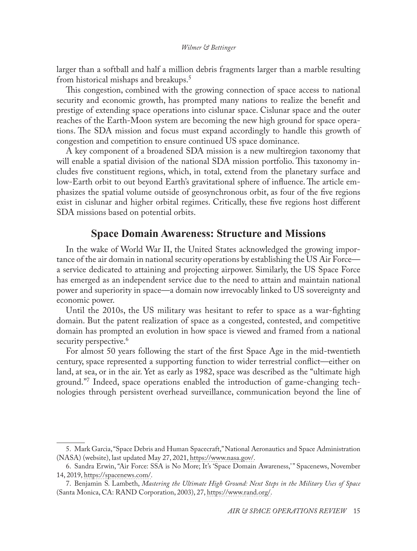larger than a softball and half a million debris fragments larger than a marble resulting from historical mishaps and breakups.5

This congestion, combined with the growing connection of space access to national security and economic growth, has prompted many nations to realize the benefit and prestige of extending space operations into cislunar space. Cislunar space and the outer reaches of the Earth-Moon system are becoming the new high ground for space operations. The SDA mission and focus must expand accordingly to handle this growth of congestion and competition to ensure continued US space dominance.

A key component of a broadened SDA mission is a new multiregion taxonomy that will enable a spatial division of the national SDA mission portfolio. This taxonomy includes five constituent regions, which, in total, extend from the planetary surface and low-Earth orbit to out beyond Earth's gravitational sphere of influence. The article emphasizes the spatial volume outside of geosynchronous orbit, as four of the five regions exist in cislunar and higher orbital regimes. Critically, these five regions host different SDA missions based on potential orbits.

## **Space Domain Awareness: Structure and Missions**

In the wake of World War II, the United States acknowledged the growing importance of the air domain in national security operations by establishing the US Air Force a service dedicated to attaining and projecting airpower. Similarly, the US Space Force has emerged as an independent service due to the need to attain and maintain national power and superiority in space—a domain now irrevocably linked to US sovereignty and economic power.

Until the 2010s, the US military was hesitant to refer to space as a war-fighting domain. But the patent realization of space as a congested, contested, and competitive domain has prompted an evolution in how space is viewed and framed from a national security perspective.<sup>6</sup>

For almost 50 years following the start of the first Space Age in the mid-twentieth century, space represented a supporting function to wider terrestrial conflict—either on land, at sea, or in the air. Yet as early as 1982, space was described as the "ultimate high ground."7 Indeed, space operations enabled the introduction of game-changing technologies through persistent overhead surveillance, communication beyond the line of

<sup>5.</sup> Mark Garcia, "Space Debris and Human Spacecraft," National Aeronautics and Space Administration (NASA) (website), last updated May 27, 2021, [https://www.nasa.gov/.](https://www.nasa.gov/mission_pages/station/news/orbital_debris.html)

<sup>6.</sup> Sandra Erwin, "Air Force: SSA is No More; It's 'Space Domain Awareness,' " Spacenews, November 14, 2019, [https://spacenews.com/](https://spacenews.com/air-force-ssa-is-no-more-its-space-domain-awareness/).

<sup>7.</sup> Benjamin S. Lambeth, *Mastering the Ultimate High Ground: Next Steps in the Military Uses of Space* (Santa Monica, CA: RAND Corporation, 2003), 27, [https://www.rand.org/](https://www.rand.org/pubs/monograph_reports/MR1649.html).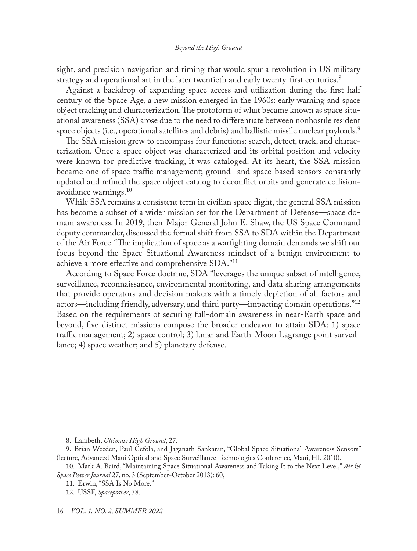sight, and precision navigation and timing that would spur a revolution in US military strategy and operational art in the later twentieth and early twenty-first centuries.<sup>8</sup>

Against a backdrop of expanding space access and utilization during the first half century of the Space Age, a new mission emerged in the 1960s: early warning and space object tracking and characterization. The protoform of what became known as space situational awareness (SSA) arose due to the need to differentiate between nonhostile resident space objects (i.e., operational satellites and debris) and ballistic missile nuclear payloads.<sup>9</sup>

The SSA mission grew to encompass four functions: search, detect, track, and characterization. Once a space object was characterized and its orbital position and velocity were known for predictive tracking, it was cataloged. At its heart, the SSA mission became one of space traffic management; ground- and space-based sensors constantly updated and refined the space object catalog to deconflict orbits and generate collisionavoidance warnings.10

While SSA remains a consistent term in civilian space flight, the general SSA mission has become a subset of a wider mission set for the Department of Defense—space domain awareness. In 2019, then-Major General John E. Shaw, the US Space Command deputy commander, discussed the formal shift from SSA to SDA within the Department of the Air Force. "The implication of space as a warfighting domain demands we shift our focus beyond the Space Situational Awareness mindset of a benign environment to achieve a more effective and comprehensive SDA."<sup>11</sup>

According to Space Force doctrine, SDA "leverages the unique subset of intelligence, surveillance, reconnaissance, environmental monitoring, and data sharing arrangements that provide operators and decision makers with a timely depiction of all factors and actors—including friendly, adversary, and third party—impacting domain operations."12 Based on the requirements of securing full-domain awareness in near-Earth space and beyond, five distinct missions compose the broader endeavor to attain SDA: 1) space traffic management; 2) space control; 3) lunar and Earth-Moon Lagrange point surveillance; 4) space weather; and 5) planetary defense.

<sup>8.</sup> Lambeth, *Ultimate High Ground*, 27.

<sup>9.</sup> Brian Weeden, Paul Cefola, and Jaganath Sankaran, "Global Space Situational Awareness Sensors" (lecture, Advanced Maui Optical and Space Surveillance Technologies Conference, Maui, HI, 2010).

<sup>10.</sup> Mark A. Baird, "Maintaining Space Situational Awareness and Taking It to the Next Level," *Air & Space Power Journal* 27, no. 3 (September-October 2013): 60.

<sup>11.</sup> Erwin, "SSA Is No More."

<sup>12.</sup> USSF, *Spacepower*, 38.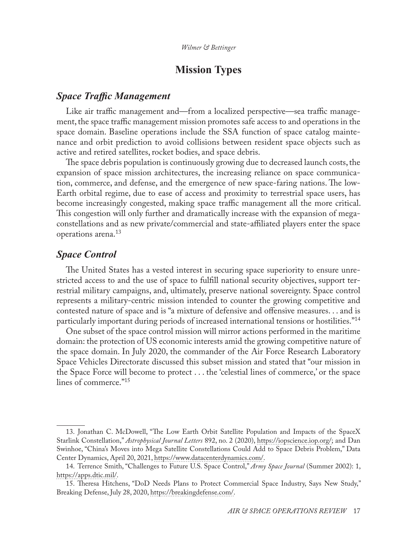## **Mission Types**

## *Space Traffic Management*

Like air traffic management and—from a localized perspective—sea traffic management, the space traffic management mission promotes safe access to and operations in the space domain. Baseline operations include the SSA function of space catalog maintenance and orbit prediction to avoid collisions between resident space objects such as active and retired satellites, rocket bodies, and space debris.

The space debris population is continuously growing due to decreased launch costs, the expansion of space mission architectures, the increasing reliance on space communication, commerce, and defense, and the emergence of new space-faring nations. The low-Earth orbital regime, due to ease of access and proximity to terrestrial space users, has become increasingly congested, making space traffic management all the more critical. This congestion will only further and dramatically increase with the expansion of megaconstellations and as new private/commercial and state-affiliated players enter the space operations arena.<sup>13</sup>

## *Space Control*

The United States has a vested interest in securing space superiority to ensure unrestricted access to and the use of space to fulfill national security objectives, support terrestrial military campaigns, and, ultimately, preserve national sovereignty. Space control represents a military-centric mission intended to counter the growing competitive and contested nature of space and is "a mixture of defensive and offensive measures. . . and is particularly important during periods of increased international tensions or hostilities."14

One subset of the space control mission will mirror actions performed in the maritime domain: the protection of US economic interests amid the growing competitive nature of the space domain. In July 2020, the commander of the Air Force Research Laboratory Space Vehicles Directorate discussed this subset mission and stated that "our mission in the Space Force will become to protect . . . the 'celestial lines of commerce,' or the space lines of commerce."<sup>15</sup>

<sup>13.</sup> Jonathan C. McDowell, "The Low Earth Orbit Satellite Population and Impacts of the SpaceX Starlink Constellation," *Astrophysical Journal Letters* 892, no. 2 (2020), [https://iopscience.iop.org/](https://iopscience.iop.org/article/10.3847/2041-8213/ab8016/pdf); and Dan Swinhoe, "China's Moves into Mega Satellite Constellations Could Add to Space Debris Problem," Data Center Dynamics, April 20, 2021, [https://www.datacenterdynamics.com/.](https://www.datacenterdynamics.com/en/analysis/chinas-moves-into-mega-satellite-constelations-could-add-to-space-debris-problem/)

<sup>14.</sup> Terrence Smith, "Challenges to Future U.S. Space Control," *Army Space Journal* (Summer 2002): 1, [https://apps.dtic.mil/.](https://apps.dtic.mil/sti/pdfs/ADA525773.pdf)

<sup>15.</sup> Theresa Hitchens, "DoD Needs Plans to Protect Commercial Space Industry, Says New Study," Breaking Defense, July 28, 2020, [https://breakingdefense.com/](https://breakingdefense.com/2020/07/dod-needs-plans-to-protect-commercial-space-industry-says-new-study/).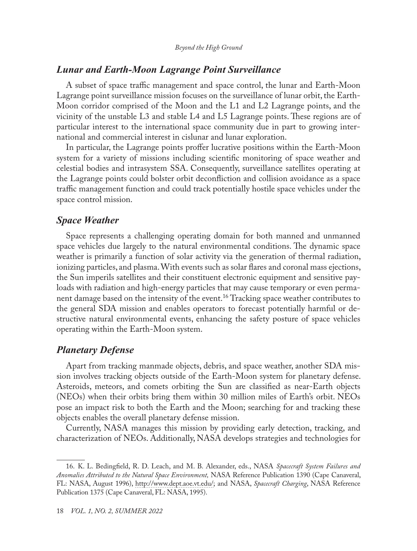## *Lunar and Earth-Moon Lagrange Point Surveillance*

A subset of space traffic management and space control, the lunar and Earth-Moon Lagrange point surveillance mission focuses on the surveillance of lunar orbit, the Earth-Moon corridor comprised of the Moon and the L1 and L2 Lagrange points, and the vicinity of the unstable L3 and stable L4 and L5 Lagrange points. These regions are of particular interest to the international space community due in part to growing international and commercial interest in cislunar and lunar exploration.

In particular, the Lagrange points proffer lucrative positions within the Earth-Moon system for a variety of missions including scientific monitoring of space weather and celestial bodies and intrasystem SSA. Consequently, surveillance satellites operating at the Lagrange points could bolster orbit deconfliction and collision avoidance as a space traffic management function and could track potentially hostile space vehicles under the space control mission.

## *Space Weather*

Space represents a challenging operating domain for both manned and unmanned space vehicles due largely to the natural environmental conditions. The dynamic space weather is primarily a function of solar activity via the generation of thermal radiation, ionizing particles, and plasma. With events such as solar flares and coronal mass ejections, the Sun imperils satellites and their constituent electronic equipment and sensitive payloads with radiation and high-energy particles that may cause temporary or even permanent damage based on the intensity of the event.16 Tracking space weather contributes to the general SDA mission and enables operators to forecast potentially harmful or destructive natural environmental events, enhancing the safety posture of space vehicles operating within the Earth-Moon system.

## *Planetary Defense*

Apart from tracking manmade objects, debris, and space weather, another SDA mission involves tracking objects outside of the Earth-Moon system for planetary defense. Asteroids, meteors, and comets orbiting the Sun are classified as near-Earth objects (NEOs) when their orbits bring them within 30 million miles of Earth's orbit. NEOs pose an impact risk to both the Earth and the Moon; searching for and tracking these objects enables the overall planetary defense mission.

Currently, NASA manages this mission by providing early detection, tracking, and characterization of NEOs. Additionally, NASA develops strategies and technologies for

<sup>16.</sup> K. L. Bedingfield, R. D. Leach, and M. B. Alexander, eds., NASA *Spacecraft System Failures and Anomalies Attributed to the Natural Space Environment,* NASA Reference Publication 1390 (Cape Canaveral, FL: NASA, August 1996), [http://www.dept.aoe.vt.edu/;](http://www.dept.aoe.vt.edu/~cdhall/courses/aoe4065/NASADesignSPs/rp1390.pdf) and NASA, *Spacecraft Charging*, NASA Reference Publication 1375 (Cape Canaveral, FL: NASA, 1995).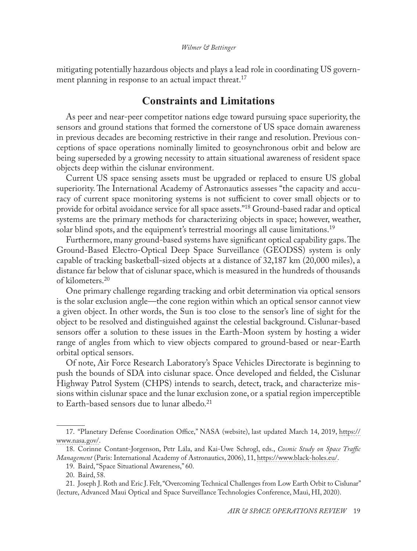#### *Wilmer & Bettinger*

mitigating potentially hazardous objects and plays a lead role in coordinating US government planning in response to an actual impact threat.<sup>17</sup>

## **Constraints and Limitations**

As peer and near-peer competitor nations edge toward pursuing space superiority, the sensors and ground stations that formed the cornerstone of US space domain awareness in previous decades are becoming restrictive in their range and resolution. Previous conceptions of space operations nominally limited to geosynchronous orbit and below are being superseded by a growing necessity to attain situational awareness of resident space objects deep within the cislunar environment.

Current US space sensing assets must be upgraded or replaced to ensure US global superiority. The International Academy of Astronautics assesses "the capacity and accuracy of current space monitoring systems is not sufficient to cover small objects or to provide for orbital avoidance service for all space assets."18 Ground-based radar and optical systems are the primary methods for characterizing objects in space; however, weather, solar blind spots, and the equipment's terrestrial moorings all cause limitations.<sup>19</sup>

Furthermore, many ground-based systems have significant optical capability gaps. The Ground-Based Electro-Optical Deep Space Surveillance (GEODSS) system is only capable of tracking basketball-sized objects at a distance of 32,187 km (20,000 miles), a distance far below that of cislunar space, which is measured in the hundreds of thousands of kilometers.20

One primary challenge regarding tracking and orbit determination via optical sensors is the solar exclusion angle—the cone region within which an optical sensor cannot view a given object. In other words, the Sun is too close to the sensor's line of sight for the object to be resolved and distinguished against the celestial background. Cislunar-based sensors offer a solution to these issues in the Earth-Moon system by hosting a wider range of angles from which to view objects compared to ground-based or near-Earth orbital optical sensors.

Of note, Air Force Research Laboratory's Space Vehicles Directorate is beginning to push the bounds of SDA into cislunar space. Once developed and fielded, the Cislunar Highway Patrol System (CHPS) intends to search, detect, track, and characterize missions within cislunar space and the lunar exclusion zone, or a spatial region imperceptible to Earth-based sensors due to lunar albedo.<sup>21</sup>

<sup>17.</sup> "Planetary Defense Coordination Office," NASA (website), last updated March 14, 2019, [https://](https://www.nasa.gov/planetarydefense/overview) [www.nasa.gov/.](https://www.nasa.gov/planetarydefense/overview)

<sup>18.</sup> Corinne Contant-Jorgenson, Petr Lála, and Kai-Uwe Schrogl, eds., *Cosmic Study on Space Traffic Management* (Paris: International Academy of Astronautics, 2006), 11, [https://www.black-holes.eu/.](https://www.black-holes.eu/resources/IAA_spacetrafficmanagement.pdf)

<sup>19.</sup> Baird, "Space Situational Awareness," 60.

<sup>20.</sup> Baird, 58.

<sup>21.</sup> Joseph J. Roth and Eric J. Felt, "Overcoming Technical Challenges from Low Earth Orbit to Cislunar" (lecture, Advanced Maui Optical and Space Surveillance Technologies Conference, Maui, HI, 2020).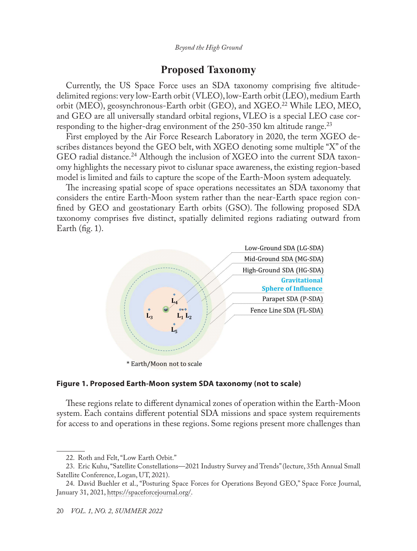## **Proposed Taxonomy**

Currently, the US Space Force uses an SDA taxonomy comprising five altitudedelimited regions: very low-Earth orbit (VLEO), low-Earth orbit (LEO), medium Earth orbit (MEO), geosynchronous-Earth orbit (GEO), and XGEO.22 While LEO, MEO, and GEO are all universally standard orbital regions, VLEO is a special LEO case corresponding to the higher-drag environment of the  $250-350$  km altitude range.<sup>23</sup>

First employed by the Air Force Research Laboratory in 2020, the term XGEO describes distances beyond the GEO belt, with XGEO denoting some multiple "X" of the GEO radial distance.<sup>24</sup> Although the inclusion of XGEO into the current SDA taxonomy highlights the necessary pivot to cislunar space awareness, the existing region-based model is limited and fails to capture the scope of the Earth-Moon system adequately.

The increasing spatial scope of space operations necessitates an SDA taxonomy that considers the entire Earth-Moon system rather than the near-Earth space region confined by GEO and geostationary Earth orbits (GSO). The following proposed SDA taxonomy comprises five distinct, spatially delimited regions radiating outward from Earth  $(fig. 1)$ .



#### **Figure 1. Proposed Earth-Moon system SDA taxonomy (not to scale)**

These regions relate to different dynamical zones of operation within the Earth-Moon system. Each contains different potential SDA missions and space system requirements for access to and operations in these regions. Some regions present more challenges than

<sup>22.</sup> Roth and Felt, "Low Earth Orbit."

<sup>23.</sup> Eric Kuhu, "Satellite Constellations—2021 Industry Survey and Trends" (lecture, 35th Annual Small Satellite Conference, Logan, UT, 2021).

<sup>24.</sup> David Buehler et al., "Posturing Space Forces for Operations Beyond GEO," Space Force Journal, January 31, 2021, [https://spaceforcejournal.org/](https://spaceforcejournal.org/posturing-space-forces-for-operations-beyond-geo/).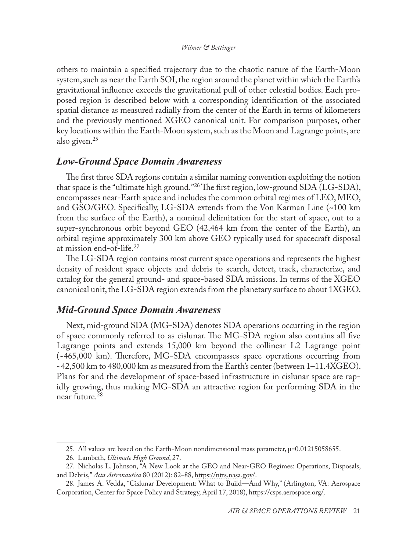#### *Wilmer & Bettinger*

others to maintain a specified trajectory due to the chaotic nature of the Earth-Moon system, such as near the Earth SOI, the region around the planet within which the Earth's gravitational influence exceeds the gravitational pull of other celestial bodies. Each proposed region is described below with a corresponding identification of the associated spatial distance as measured radially from the center of the Earth in terms of kilometers and the previously mentioned XGEO canonical unit. For comparison purposes, other key locations within the Earth-Moon system, such as the Moon and Lagrange points, are also given.<sup>25</sup>

## *Low-Ground Space Domain Awareness*

The first three SDA regions contain a similar naming convention exploiting the notion that space is the "ultimate high ground."26 The first region, low-ground SDA (LG-SDA), encompasses near-Earth space and includes the common orbital regimes of LEO, MEO, and GSO/GEO. Specifically, LG-SDA extends from the Von Karman Line (~100 km from the surface of the Earth), a nominal delimitation for the start of space, out to a super-synchronous orbit beyond GEO (42,464 km from the center of the Earth), an orbital regime approximately 300 km above GEO typically used for spacecraft disposal at mission end-of-life.27

The LG-SDA region contains most current space operations and represents the highest density of resident space objects and debris to search, detect, track, characterize, and catalog for the general ground- and space-based SDA missions. In terms of the XGEO canonical unit, the LG-SDA region extends from the planetary surface to about 1XGEO.

### *Mid-Ground Space Domain Awareness*

Next, mid-ground SDA (MG-SDA) denotes SDA operations occurring in the region of space commonly referred to as cislunar. The MG-SDA region also contains all five Lagrange points and extends 15,000 km beyond the collinear L2 Lagrange point (~465,000 km). Therefore, MG-SDA encompasses space operations occurring from  $\sim$ 42,500 km to 480,000 km as measured from the Earth's center (between  $1-11.4XGEO$ ). Plans for and the development of space-based infrastructure in cislunar space are rapidly growing, thus making MG-SDA an attractive region for performing SDA in the near future.<sup>28</sup>

<sup>25.</sup> All values are based on the Earth-Moon nondimensional mass parameter, µ=0.01215058655.

<sup>26.</sup> Lambeth, *Ultimate High Ground*, 27.

<sup>27.</sup> Nicholas L. Johnson, "A New Look at the GEO and Near-GEO Regimes: Operations, Disposals, and Debris," *Acta Astronautica* 80 (2012): 82–88, [https://ntrs.nasa.gov/](https://ntrs.nasa.gov/api/citations/20110006974/downloads/20110006974.pdf).

<sup>28.</sup> James A. Vedda, "Cislunar Development: What to Build—And Why," (Arlington, VA: Aerospace Corporation, Center for Space Policy and Strategy, April 17, 2018), [https://csps.aerospace.org/](https://csps.aerospace.org/papers/cislunar-development-what-build-and-why).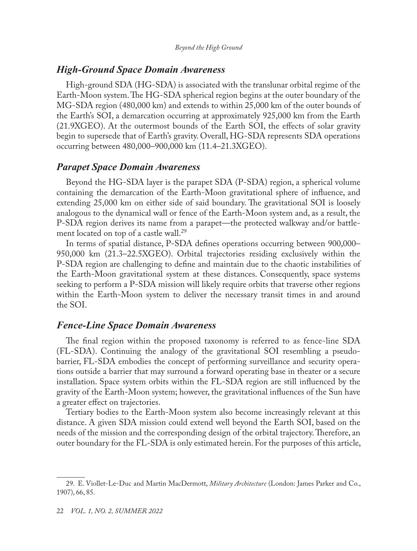## *High-Ground Space Domain Awareness*

High-ground SDA (HG-SDA) is associated with the translunar orbital regime of the Earth-Moon system. The HG-SDA spherical region begins at the outer boundary of the MG-SDA region (480,000 km) and extends to within 25,000 km of the outer bounds of the Earth's SOI, a demarcation occurring at approximately 925,000 km from the Earth (21.9XGEO). At the outermost bounds of the Earth SOI, the effects of solar gravity begin to supersede that of Earth's gravity. Overall, HG-SDA represents SDA operations occurring between 480,000–900,000 km (11.4–21.3XGEO).

## *Parapet Space Domain Awareness*

Beyond the HG-SDA layer is the parapet SDA (P-SDA) region, a spherical volume containing the demarcation of the Earth-Moon gravitational sphere of influence, and extending 25,000 km on either side of said boundary. The gravitational SOI is loosely analogous to the dynamical wall or fence of the Earth-Moon system and, as a result, the P-SDA region derives its name from a parapet—the protected walkway and/or battlement located on top of a castle wall.<sup>29</sup>

In terms of spatial distance, P-SDA defines operations occurring between 900,000– 950,000 km (21.3–22.5XGEO). Orbital trajectories residing exclusively within the P-SDA region are challenging to define and maintain due to the chaotic instabilities of the Earth-Moon gravitational system at these distances. Consequently, space systems seeking to perform a P-SDA mission will likely require orbits that traverse other regions within the Earth-Moon system to deliver the necessary transit times in and around the SOI.

## *Fence-Line Space Domain Awareness*

The final region within the proposed taxonomy is referred to as fence-line SDA (FL-SDA). Continuing the analogy of the gravitational SOI resembling a pseudobarrier, FL-SDA embodies the concept of performing surveillance and security operations outside a barrier that may surround a forward operating base in theater or a secure installation. Space system orbits within the FL-SDA region are still influenced by the gravity of the Earth-Moon system; however, the gravitational influences of the Sun have a greater effect on trajectories.

Tertiary bodies to the Earth-Moon system also become increasingly relevant at this distance. A given SDA mission could extend well beyond the Earth SOI, based on the needs of the mission and the corresponding design of the orbital trajectory. Therefore, an outer boundary for the FL-SDA is only estimated herein. For the purposes of this article,

<sup>29.</sup> E. Viollet-Le-Duc and Martin MacDermott, *Military Architecture* (London: James Parker and Co., 1907), 66, 85.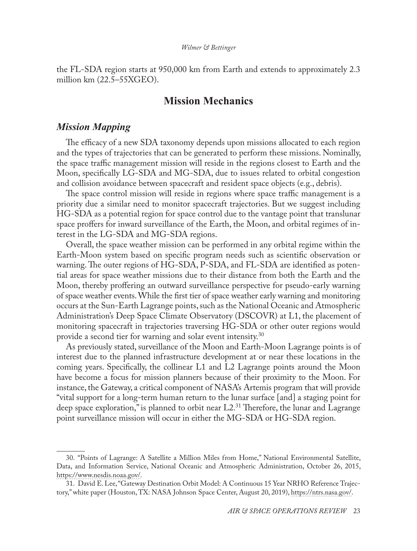the FL-SDA region starts at 950,000 km from Earth and extends to approximately 2.3 million km (22.5–55XGEO).

## **Mission Mechanics**

## *Mission Mapping*

The efficacy of a new SDA taxonomy depends upon missions allocated to each region and the types of trajectories that can be generated to perform these missions. Nominally, the space traffic management mission will reside in the regions closest to Earth and the Moon, specifically LG-SDA and MG-SDA, due to issues related to orbital congestion and collision avoidance between spacecraft and resident space objects (e.g., debris).

The space control mission will reside in regions where space traffic management is a priority due a similar need to monitor spacecraft trajectories. But we suggest including HG-SDA as a potential region for space control due to the vantage point that translunar space proffers for inward surveillance of the Earth, the Moon, and orbital regimes of interest in the LG-SDA and MG-SDA regions.

Overall, the space weather mission can be performed in any orbital regime within the Earth-Moon system based on specific program needs such as scientific observation or warning. The outer regions of HG-SDA, P-SDA, and FL-SDA are identified as potential areas for space weather missions due to their distance from both the Earth and the Moon, thereby proffering an outward surveillance perspective for pseudo-early warning of space weather events. While the first tier of space weather early warning and monitoring occurs at the Sun-Earth Lagrange points, such as the National Oceanic and Atmospheric Administration's Deep Space Climate Observatory (DSCOVR) at L1, the placement of monitoring spacecraft in trajectories traversing HG-SDA or other outer regions would provide a second tier for warning and solar event intensity.<sup>30</sup>

As previously stated, surveillance of the Moon and Earth-Moon Lagrange points is of interest due to the planned infrastructure development at or near these locations in the coming years. Specifically, the collinear L1 and L2 Lagrange points around the Moon have become a focus for mission planners because of their proximity to the Moon. For instance, the Gateway, a critical component of NASA's Artemis program that will provide "vital support for a long-term human return to the lunar surface [and] a staging point for deep space exploration," is planned to orbit near  $L2<sup>31</sup>$  Therefore, the lunar and Lagrange point surveillance mission will occur in either the MG-SDA or HG-SDA region.

<sup>30.</sup> "Points of Lagrange: A Satellite a Million Miles from Home," National Environmental Satellite, Data, and Information Service, National Oceanic and Atmospheric Administration, October 26, 2015, [https://www.nesdis.noaa.gov/.](https://www.nesdis.noaa.gov/news/points-of-lagrange-satellite-million-miles-home)

<sup>31.</sup> David E. Lee, "Gateway Destination Orbit Model: A Continuous 15 Year NRHO Reference Trajectory," white paper (Houston, TX: NASA Johnson Space Center, August 20, 2019), [https://ntrs.nasa.gov/.](https://ntrs.nasa.gov/citations/20190030294)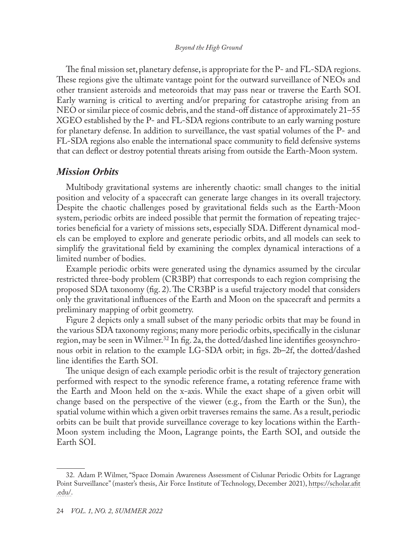The final mission set, planetary defense, is appropriate for the P- and FL-SDA regions. These regions give the ultimate vantage point for the outward surveillance of NEOs and other transient asteroids and meteoroids that may pass near or traverse the Earth SOI. Early warning is critical to averting and/or preparing for catastrophe arising from an NEO or similar piece of cosmic debris, and the stand-off distance of approximately 21–55 XGEO established by the P- and FL-SDA regions contribute to an early warning posture for planetary defense. In addition to surveillance, the vast spatial volumes of the P- and FL-SDA regions also enable the international space community to field defensive systems that can deflect or destroy potential threats arising from outside the Earth-Moon system.

## *Mission Orbits*

Multibody gravitational systems are inherently chaotic: small changes to the initial position and velocity of a spacecraft can generate large changes in its overall trajectory. Despite the chaotic challenges posed by gravitational fields such as the Earth-Moon system, periodic orbits are indeed possible that permit the formation of repeating trajectories beneficial for a variety of missions sets, especially SDA. Different dynamical models can be employed to explore and generate periodic orbits, and all models can seek to simplify the gravitational field by examining the complex dynamical interactions of a limited number of bodies.

Example periodic orbits were generated using the dynamics assumed by the circular restricted three-body problem (CR3BP) that corresponds to each region comprising the proposed SDA taxonomy (fig. 2). The CR3BP is a useful trajectory model that considers only the gravitational influences of the Earth and Moon on the spacecraft and permits a preliminary mapping of orbit geometry.

Figure 2 depicts only a small subset of the many periodic orbits that may be found in the various SDA taxonomy regions; many more periodic orbits, specifically in the cislunar region, may be seen in Wilmer.<sup>32</sup> In fig. 2a, the dotted/dashed line identifies geosynchronous orbit in relation to the example LG-SDA orbit; in figs. 2b–2f, the dotted/dashed line identifies the Earth SOI.

The unique design of each example periodic orbit is the result of trajectory generation performed with respect to the synodic reference frame, a rotating reference frame with the Earth and Moon held on the x-axis. While the exact shape of a given orbit will change based on the perspective of the viewer (e.g., from the Earth or the Sun), the spatial volume within which a given orbit traverses remains the same. As a result, periodic orbits can be built that provide surveillance coverage to key locations within the Earth-Moon system including the Moon, Lagrange points, the Earth SOI, and outside the Earth SOI.

<sup>32.</sup> Adam P. Wilmer, "Space Domain Awareness Assessment of Cislunar Periodic Orbits for Lagrange Point Surveillance" (master's thesis, Air Force Institute of Technology, December 2021), [https://scholar.afit](https://scholar.afit.edu/etd/5130/) [.edu/.](https://scholar.afit.edu/etd/5130/)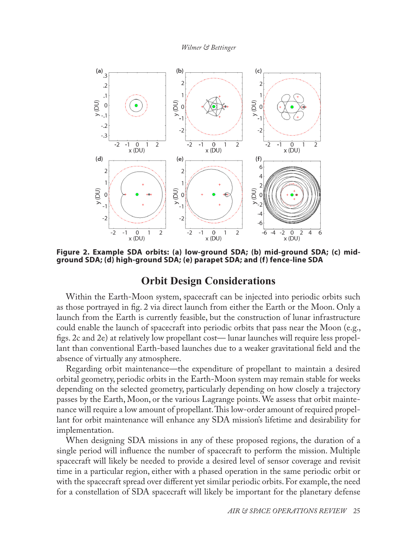*Wilmer & Bettinger*



**Figure 2. Example SDA orbits: (a) low-ground SDA; (b) mid-ground SDA; (c) midground SDA; (d) high-ground SDA; (e) parapet SDA; and (f) fence-line SDA**

## **Orbit Design Considerations**

Within the Earth-Moon system, spacecraft can be injected into periodic orbits such as those portrayed in fig. 2 via direct launch from either the Earth or the Moon. Only a launch from the Earth is currently feasible, but the construction of lunar infrastructure could enable the launch of spacecraft into periodic orbits that pass near the Moon (e.g., figs. 2c and 2e) at relatively low propellant cost— lunar launches will require less propellant than conventional Earth-based launches due to a weaker gravitational field and the absence of virtually any atmosphere.

Regarding orbit maintenance—the expenditure of propellant to maintain a desired orbital geometry, periodic orbits in the Earth-Moon system may remain stable for weeks depending on the selected geometry, particularly depending on how closely a trajectory passes by the Earth, Moon, or the various Lagrange points. We assess that orbit maintenance will require a low amount of propellant. This low-order amount of required propellant for orbit maintenance will enhance any SDA mission's lifetime and desirability for implementation.

When designing SDA missions in any of these proposed regions, the duration of a single period will influence the number of spacecraft to perform the mission. Multiple spacecraft will likely be needed to provide a desired level of sensor coverage and revisit time in a particular region, either with a phased operation in the same periodic orbit or with the spacecraft spread over different yet similar periodic orbits. For example, the need for a constellation of SDA spacecraft will likely be important for the planetary defense